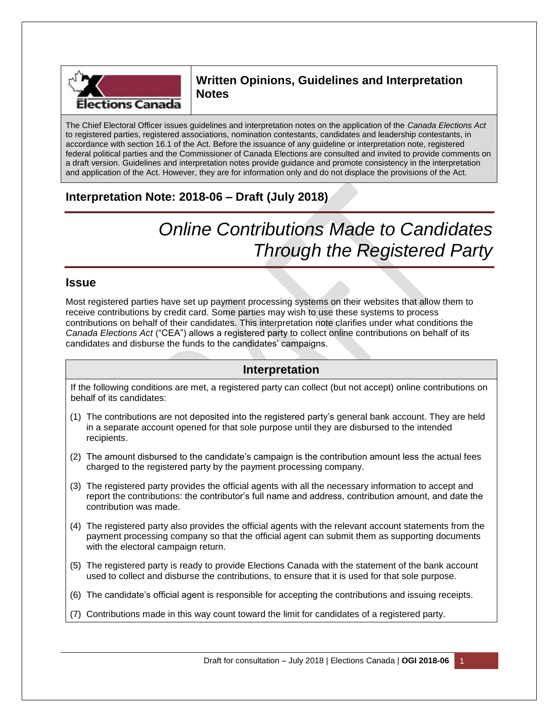

## **Written Opinions, Guidelines and Interpretation Notes**

The Chief Electoral Officer issues guidelines and interpretation notes on the application of the *Canada Elections Act* to registered parties, registered associations, nomination contestants, candidates and leadership contestants, in accordance with section 16.1 of the Act. Before the issuance of any guideline or interpretation note, registered federal political parties and the Commissioner of Canada Elections are consulted and invited to provide comments on a draft version. Guidelines and interpretation notes provide guidance and promote consistency in the interpretation and application of the Act. However, they are for information only and do not displace the provisions of the Act.

## **Interpretation Note: 2018-06 – Draft (July 2018)**

# *Online Contributions Made to Candidates Through the Registered Party*

## **Issue**

Most registered parties have set up payment processing systems on their websites that allow them to receive contributions by credit card. Some parties may wish to use these systems to process contributions on behalf of their candidates. This interpretation note clarifies under what conditions the *Canada Elections Act* ("CEA") allows a registered party to collect online contributions on behalf of its candidates and disburse the funds to the candidates' campaigns.

## **Interpretation**

If the following conditions are met, a registered party can collect (but not accept) online contributions on behalf of its candidates:

- (1) The contributions are not deposited into the registered party's general bank account. They are held in a separate account opened for that sole purpose until they are disbursed to the intended recipients.
- (2) The amount disbursed to the candidate's campaign is the contribution amount less the actual fees charged to the registered party by the payment processing company.
- (3) The registered party provides the official agents with all the necessary information to accept and report the contributions: the contributor's full name and address, contribution amount, and date the contribution was made.
- (4) The registered party also provides the official agents with the relevant account statements from the payment processing company so that the official agent can submit them as supporting documents with the electoral campaign return.
- (5) The registered party is ready to provide Elections Canada with the statement of the bank account used to collect and disburse the contributions, to ensure that it is used for that sole purpose.
- (6) The candidate's official agent is responsible for accepting the contributions and issuing receipts.
- (7) Contributions made in this way count toward the limit for candidates of a registered party.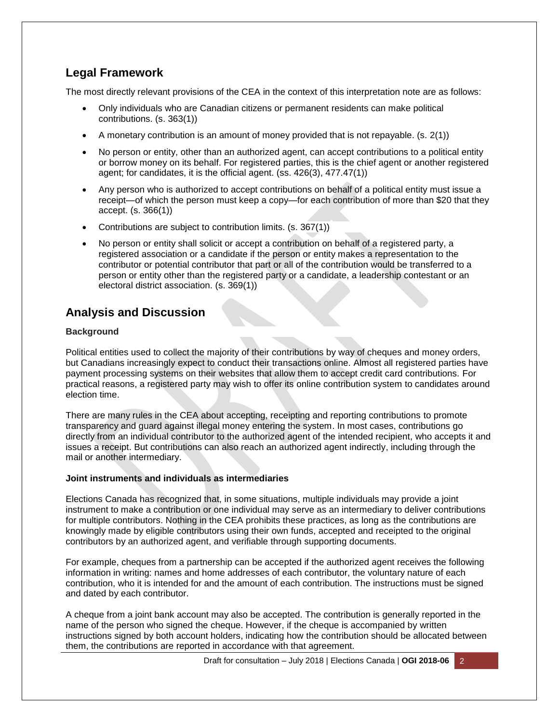## **Legal Framework**

The most directly relevant provisions of the CEA in the context of this interpretation note are as follows:

- Only individuals who are Canadian citizens or permanent residents can make political contributions. (s. 363(1))
- A monetary contribution is an amount of money provided that is not repayable. (s. 2(1))
- No person or entity, other than an authorized agent, can accept contributions to a political entity or borrow money on its behalf. For registered parties, this is the chief agent or another registered agent; for candidates, it is the official agent. (ss. 426(3), 477.47(1))
- Any person who is authorized to accept contributions on behalf of a political entity must issue a receipt—of which the person must keep a copy—for each contribution of more than \$20 that they accept. (s. 366(1))
- Contributions are subject to contribution limits. (s. 367(1))
- No person or entity shall solicit or accept a contribution on behalf of a registered party, a registered association or a candidate if the person or entity makes a representation to the contributor or potential contributor that part or all of the contribution would be transferred to a person or entity other than the registered party or a candidate, a leadership contestant or an electoral district association. (s. 369(1))

# **Analysis and Discussion**

#### **Background**

Political entities used to collect the majority of their contributions by way of cheques and money orders, but Canadians increasingly expect to conduct their transactions online. Almost all registered parties have payment processing systems on their websites that allow them to accept credit card contributions. For practical reasons, a registered party may wish to offer its online contribution system to candidates around election time.

There are many rules in the CEA about accepting, receipting and reporting contributions to promote transparency and guard against illegal money entering the system. In most cases, contributions go directly from an individual contributor to the authorized agent of the intended recipient, who accepts it and issues a receipt. But contributions can also reach an authorized agent indirectly, including through the mail or another intermediary.

#### **Joint instruments and individuals as intermediaries**

Elections Canada has recognized that, in some situations, multiple individuals may provide a joint instrument to make a contribution or one individual may serve as an intermediary to deliver contributions for multiple contributors. Nothing in the CEA prohibits these practices, as long as the contributions are knowingly made by eligible contributors using their own funds, accepted and receipted to the original contributors by an authorized agent, and verifiable through supporting documents.

For example, cheques from a partnership can be accepted if the authorized agent receives the following information in writing: names and home addresses of each contributor, the voluntary nature of each contribution, who it is intended for and the amount of each contribution. The instructions must be signed and dated by each contributor.

A cheque from a joint bank account may also be accepted. The contribution is generally reported in the name of the person who signed the cheque. However, if the cheque is accompanied by written instructions signed by both account holders, indicating how the contribution should be allocated between them, the contributions are reported in accordance with that agreement.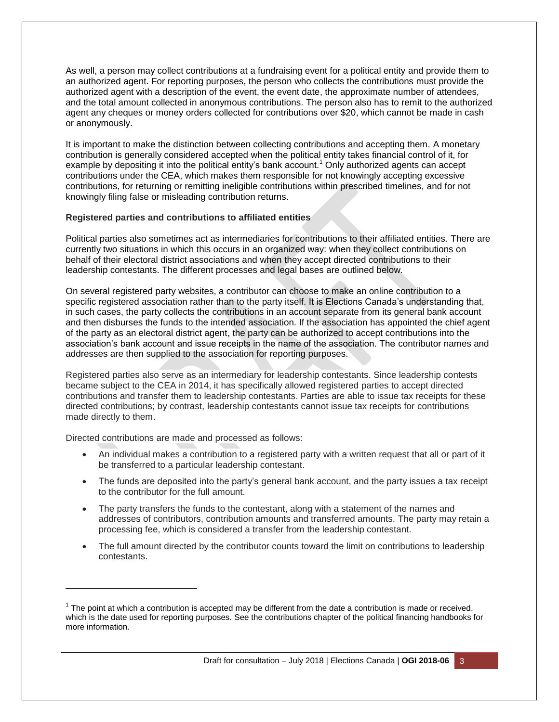As well, a person may collect contributions at a fundraising event for a political entity and provide them to an authorized agent. For reporting purposes, the person who collects the contributions must provide the authorized agent with a description of the event, the event date, the approximate number of attendees, and the total amount collected in anonymous contributions. The person also has to remit to the authorized agent any cheques or money orders collected for contributions over \$20, which cannot be made in cash or anonymously.

It is important to make the distinction between collecting contributions and accepting them. A monetary contribution is generally considered accepted when the political entity takes financial control of it, for example by depositing it into the political entity's bank account.<sup>1</sup> Only authorized agents can accept contributions under the CEA, which makes them responsible for not knowingly accepting excessive contributions, for returning or remitting ineligible contributions within prescribed timelines, and for not knowingly filing false or misleading contribution returns.

#### **Registered parties and contributions to affiliated entities**

Political parties also sometimes act as intermediaries for contributions to their affiliated entities. There are currently two situations in which this occurs in an organized way: when they collect contributions on behalf of their electoral district associations and when they accept directed contributions to their leadership contestants. The different processes and legal bases are outlined below.

On several registered party websites, a contributor can choose to make an online contribution to a specific registered association rather than to the party itself. It is Elections Canada's understanding that, in such cases, the party collects the contributions in an account separate from its general bank account and then disburses the funds to the intended association. If the association has appointed the chief agent of the party as an electoral district agent, the party can be authorized to accept contributions into the association's bank account and issue receipts in the name of the association. The contributor names and addresses are then supplied to the association for reporting purposes.

Registered parties also serve as an intermediary for leadership contestants. Since leadership contests became subject to the CEA in 2014, it has specifically allowed registered parties to accept directed contributions and transfer them to leadership contestants. Parties are able to issue tax receipts for these directed contributions; by contrast, leadership contestants cannot issue tax receipts for contributions made directly to them.

Directed contributions are made and processed as follows:

l

- An individual makes a contribution to a registered party with a written request that all or part of it be transferred to a particular leadership contestant.
- The funds are deposited into the party's general bank account, and the party issues a tax receipt to the contributor for the full amount.
- The party transfers the funds to the contestant, along with a statement of the names and addresses of contributors, contribution amounts and transferred amounts. The party may retain a processing fee, which is considered a transfer from the leadership contestant.
- The full amount directed by the contributor counts toward the limit on contributions to leadership contestants.

 $1$  The point at which a contribution is accepted may be different from the date a contribution is made or received, which is the date used for reporting purposes. See the contributions chapter of the political financing handbooks for more information.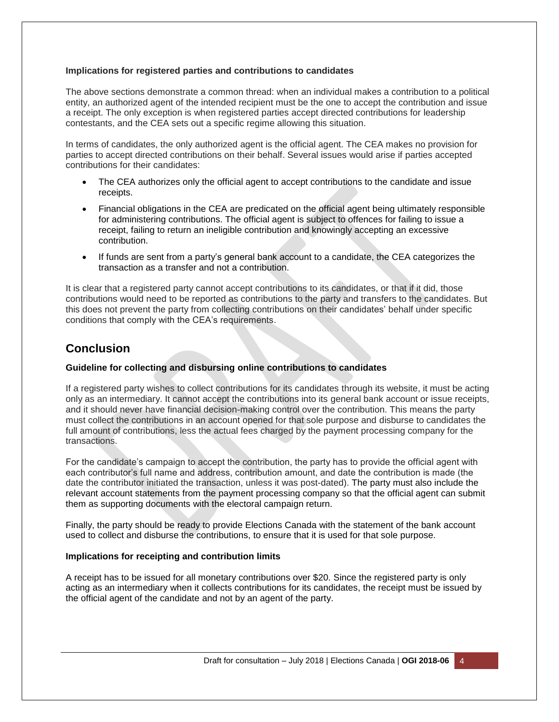#### **Implications for registered parties and contributions to candidates**

The above sections demonstrate a common thread: when an individual makes a contribution to a political entity, an authorized agent of the intended recipient must be the one to accept the contribution and issue a receipt. The only exception is when registered parties accept directed contributions for leadership contestants, and the CEA sets out a specific regime allowing this situation.

In terms of candidates, the only authorized agent is the official agent. The CEA makes no provision for parties to accept directed contributions on their behalf. Several issues would arise if parties accepted contributions for their candidates:

- The CEA authorizes only the official agent to accept contributions to the candidate and issue receipts.
- Financial obligations in the CEA are predicated on the official agent being ultimately responsible for administering contributions. The official agent is subject to offences for failing to issue a receipt, failing to return an ineligible contribution and knowingly accepting an excessive contribution.
- If funds are sent from a party's general bank account to a candidate, the CEA categorizes the transaction as a transfer and not a contribution.

It is clear that a registered party cannot accept contributions to its candidates, or that if it did, those contributions would need to be reported as contributions to the party and transfers to the candidates. But this does not prevent the party from collecting contributions on their candidates' behalf under specific conditions that comply with the CEA's requirements.

## **Conclusion**

#### **Guideline for collecting and disbursing online contributions to candidates**

If a registered party wishes to collect contributions for its candidates through its website, it must be acting only as an intermediary. It cannot accept the contributions into its general bank account or issue receipts, and it should never have financial decision-making control over the contribution. This means the party must collect the contributions in an account opened for that sole purpose and disburse to candidates the full amount of contributions, less the actual fees charged by the payment processing company for the transactions.

For the candidate's campaign to accept the contribution, the party has to provide the official agent with each contributor's full name and address, contribution amount, and date the contribution is made (the date the contributor initiated the transaction, unless it was post-dated). The party must also include the relevant account statements from the payment processing company so that the official agent can submit them as supporting documents with the electoral campaign return.

Finally, the party should be ready to provide Elections Canada with the statement of the bank account used to collect and disburse the contributions, to ensure that it is used for that sole purpose.

#### **Implications for receipting and contribution limits**

A receipt has to be issued for all monetary contributions over \$20. Since the registered party is only acting as an intermediary when it collects contributions for its candidates, the receipt must be issued by the official agent of the candidate and not by an agent of the party.